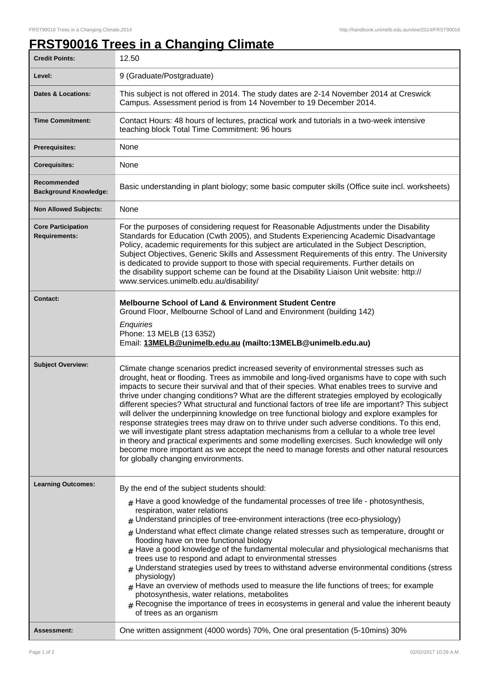## **FRST90016 Trees in a Changing Climate**

| <b>Credit Points:</b>                             | 12.50                                                                                                                                                                                                                                                                                                                                                                                                                                                                                                                                                                                                                                                                                                                                                                                                                                                                                                                                                                                                                        |
|---------------------------------------------------|------------------------------------------------------------------------------------------------------------------------------------------------------------------------------------------------------------------------------------------------------------------------------------------------------------------------------------------------------------------------------------------------------------------------------------------------------------------------------------------------------------------------------------------------------------------------------------------------------------------------------------------------------------------------------------------------------------------------------------------------------------------------------------------------------------------------------------------------------------------------------------------------------------------------------------------------------------------------------------------------------------------------------|
| Level:                                            | 9 (Graduate/Postgraduate)                                                                                                                                                                                                                                                                                                                                                                                                                                                                                                                                                                                                                                                                                                                                                                                                                                                                                                                                                                                                    |
| <b>Dates &amp; Locations:</b>                     | This subject is not offered in 2014. The study dates are 2-14 November 2014 at Creswick<br>Campus. Assessment period is from 14 November to 19 December 2014.                                                                                                                                                                                                                                                                                                                                                                                                                                                                                                                                                                                                                                                                                                                                                                                                                                                                |
| <b>Time Commitment:</b>                           | Contact Hours: 48 hours of lectures, practical work and tutorials in a two-week intensive<br>teaching block Total Time Commitment: 96 hours                                                                                                                                                                                                                                                                                                                                                                                                                                                                                                                                                                                                                                                                                                                                                                                                                                                                                  |
| <b>Prerequisites:</b>                             | None                                                                                                                                                                                                                                                                                                                                                                                                                                                                                                                                                                                                                                                                                                                                                                                                                                                                                                                                                                                                                         |
| <b>Corequisites:</b>                              | None                                                                                                                                                                                                                                                                                                                                                                                                                                                                                                                                                                                                                                                                                                                                                                                                                                                                                                                                                                                                                         |
| Recommended<br><b>Background Knowledge:</b>       | Basic understanding in plant biology; some basic computer skills (Office suite incl. worksheets)                                                                                                                                                                                                                                                                                                                                                                                                                                                                                                                                                                                                                                                                                                                                                                                                                                                                                                                             |
| <b>Non Allowed Subjects:</b>                      | None                                                                                                                                                                                                                                                                                                                                                                                                                                                                                                                                                                                                                                                                                                                                                                                                                                                                                                                                                                                                                         |
| <b>Core Participation</b><br><b>Requirements:</b> | For the purposes of considering request for Reasonable Adjustments under the Disability<br>Standards for Education (Cwth 2005), and Students Experiencing Academic Disadvantage<br>Policy, academic requirements for this subject are articulated in the Subject Description,<br>Subject Objectives, Generic Skills and Assessment Requirements of this entry. The University<br>is dedicated to provide support to those with special requirements. Further details on<br>the disability support scheme can be found at the Disability Liaison Unit website: http://<br>www.services.unimelb.edu.au/disability/                                                                                                                                                                                                                                                                                                                                                                                                             |
| <b>Contact:</b>                                   | <b>Melbourne School of Land &amp; Environment Student Centre</b><br>Ground Floor, Melbourne School of Land and Environment (building 142)<br>Enquiries<br>Phone: 13 MELB (13 6352)<br>Email: 13MELB@unimelb.edu.au (mailto:13MELB@unimelb.edu.au)                                                                                                                                                                                                                                                                                                                                                                                                                                                                                                                                                                                                                                                                                                                                                                            |
| <b>Subject Overview:</b>                          | Climate change scenarios predict increased severity of environmental stresses such as<br>drought, heat or flooding. Trees as immobile and long-lived organisms have to cope with such<br>impacts to secure their survival and that of their species. What enables trees to survive and<br>thrive under changing conditions? What are the different strategies employed by ecologically<br>different species? What structural and functional factors of tree life are important? This subject<br>will deliver the underpinning knowledge on tree functional biology and explore examples for<br>response strategies trees may draw on to thrive under such adverse conditions. To this end,<br>we will investigate plant stress adaptation mechanisms from a cellular to a whole tree level<br>in theory and practical experiments and some modelling exercises. Such knowledge will only<br>become more important as we accept the need to manage forests and other natural resources<br>for globally changing environments. |
| <b>Learning Outcomes:</b>                         | By the end of the subject students should:<br>$#$ Have a good knowledge of the fundamental processes of tree life - photosynthesis,<br>respiration, water relations<br>$#$ Understand principles of tree-environment interactions (tree eco-physiology)<br>$#$ Understand what effect climate change related stresses such as temperature, drought or<br>flooding have on tree functional biology<br>$*$ Have a good knowledge of the fundamental molecular and physiological mechanisms that<br>trees use to respond and adapt to environmental stresses<br>$#$ Understand strategies used by trees to withstand adverse environmental conditions (stress<br>physiology)<br>$#$ Have an overview of methods used to measure the life functions of trees; for example<br>photosynthesis, water relations, metabolites<br>$#$ Recognise the importance of trees in ecosystems in general and value the inherent beauty<br>of trees as an organism                                                                             |
| <b>Assessment:</b>                                | One written assignment (4000 words) 70%, One oral presentation (5-10mins) 30%                                                                                                                                                                                                                                                                                                                                                                                                                                                                                                                                                                                                                                                                                                                                                                                                                                                                                                                                                |